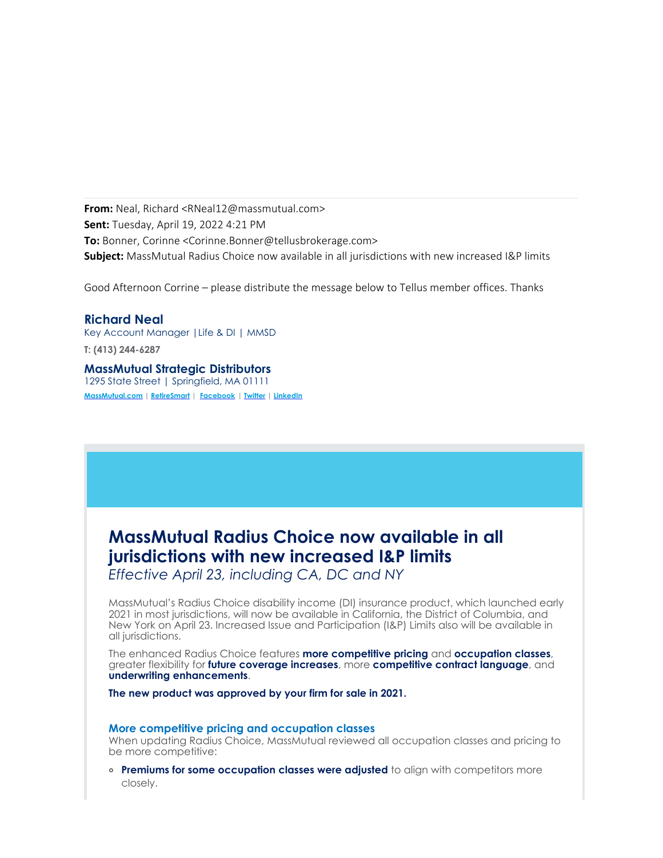**From:** Neal, Richard <RNeal12@massmutual.com> **Sent:** Tuesday, April 19, 2022 4:21 PM **To:** Bonner, Corinne <Corinne.Bonner@tellusbrokerage.com> **Subject:** MassMutual Radius Choice now available in all jurisdictions with new increased I&P limits

Good Afternoon Corrine – please distribute the message below to Tellus member offices. Thanks

**Richard Neal** Key Account Manager |Life & DI | MMSD

**T: (413) 244-6287**

**MassMutual Strategic Distributors** 1295 State Street | Springfield, MA 01111 **[MassMutual.com](http://www.massmutual.com/) | [RetireSmart](http://www.retiresmart.com/) | [Facebook](https://www.facebook.com/massmutual) | [Twitter](https://twitter.com/massmutual) | [LinkedIn](http://www.linkedin.com/company/massmutual-financial-group)**

# **MassMutual Radius Choice now available in all jurisdictions with new increased I&P limits**

*Effective April 23, including CA, DC and NY*

MassMutual's Radius Choice disability income (DI) insurance product, which launched early 2021 in most jurisdictions, will now be available in California, the District of Columbia, and New York on April 23. Increased Issue and Participation (I&P) Limits also will be available in all jurisdictions.

The enhanced Radius Choice features **more competitive pricing** and **occupation classes**, greater flexibility for **future coverage increases**, more **competitive contract language**, and **underwriting enhancements**.

**The new product was approved by your firm for sale in 2021.**

### **More competitive pricing and occupation classes**

When updating Radius Choice, MassMutual reviewed all occupation classes and pricing to be more competitive:

**Premiums for some occupation classes were adjusted** to align with competitors more closely.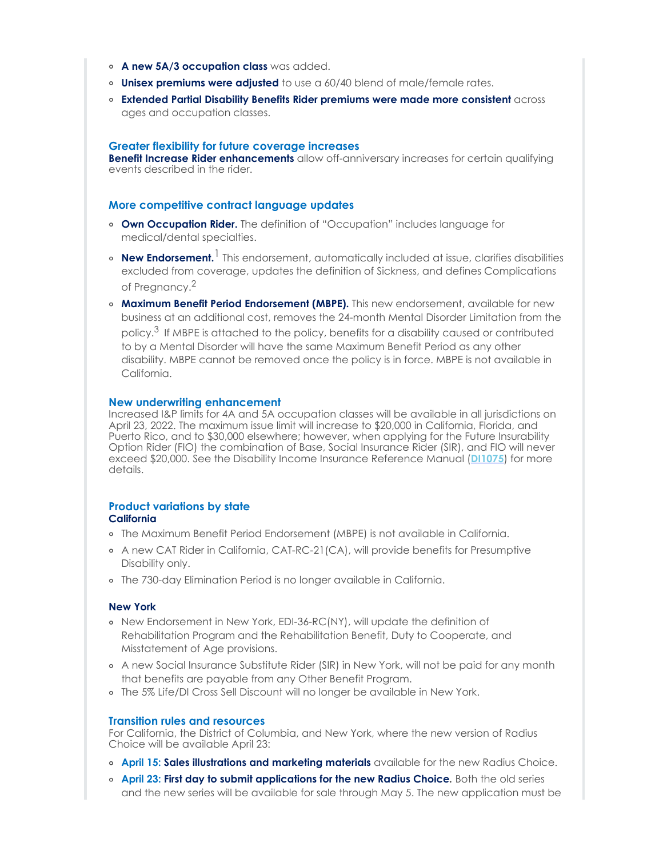- **A new 5A/3 occupation class** was added.
- **Unisex premiums were adjusted** to use a 60/40 blend of male/female rates.
- **Extended Partial Disability Benefits Rider premiums were made more consistent** across ages and occupation classes.

### **Greater flexibility for future coverage increases**

**Benefit Increase Rider enhancements** allow off-anniversary increases for certain qualifying events described in the rider.

### **More competitive contract language updates**

- **Own Occupation Rider.** The definition of "Occupation" includes language for medical/dental specialties.
- **New Endorsement.** 1 This endorsement, automatically included at issue, clarifies disabilities excluded from coverage, updates the definition of Sickness, and defines Complications of Pregnancy.2
- **Maximum Benefit Period Endorsement (MBPE).** This new endorsement, available for new business at an additional cost, removes the 24-month Mental Disorder Limitation from the policy. $3$  If MBPE is attached to the policy, benefits for a disability caused or contributed to by a Mental Disorder will have the same Maximum Benefit Period as any other disability. MBPE cannot be removed once the policy is in force. MBPE is not available in California.

### **New underwriting enhancement**

Increased I&P limits for 4A and 5A occupation classes will be available in all jurisdictions on April 23, 2022. The maximum issue limit will increase to \$20,000 in California, Florida, and Puerto Rico, and to \$30,000 elsewhere; however, when applying for the Future Insurability Option Rider (FIO) the combination of Base, Social Insurance Rider (SIR), and FIO will never exceed \$20,000. See the Disability Income Insurance Reference Manual (**[DI1075](https://fieldnet.massmutual.com/public/di/pdfs/di1075.pdf)**) for more details.

## **Product variations by state**

### **California**

- The Maximum Benefit Period Endorsement (MBPE) is not available in California.
- A new CAT Rider in California, CAT-RC-21(CA), will provide benefits for Presumptive Disability only.
- The 730-day Elimination Period is no longer available in California.

### **New York**

- o New Endorsement in New York, EDI-36-RC(NY), will update the definition of Rehabilitation Program and the Rehabilitation Benefit, Duty to Cooperate, and Misstatement of Age provisions.
- A new Social Insurance Substitute Rider (SIR) in New York, will not be paid for any month that benefits are payable from any Other Benefit Program.
- The 5% Life/DI Cross Sell Discount will no longer be available in New York.

### **Transition rules and resources**

For California, the District of Columbia, and New York, where the new version of Radius Choice will be available April 23:

- **April 15: Sales illustrations and marketing materials** available for the new Radius Choice.
- **April 23: First day to submit applications for the new Radius Choice***.* Both the old series and the new series will be available for sale through May 5. The new application must be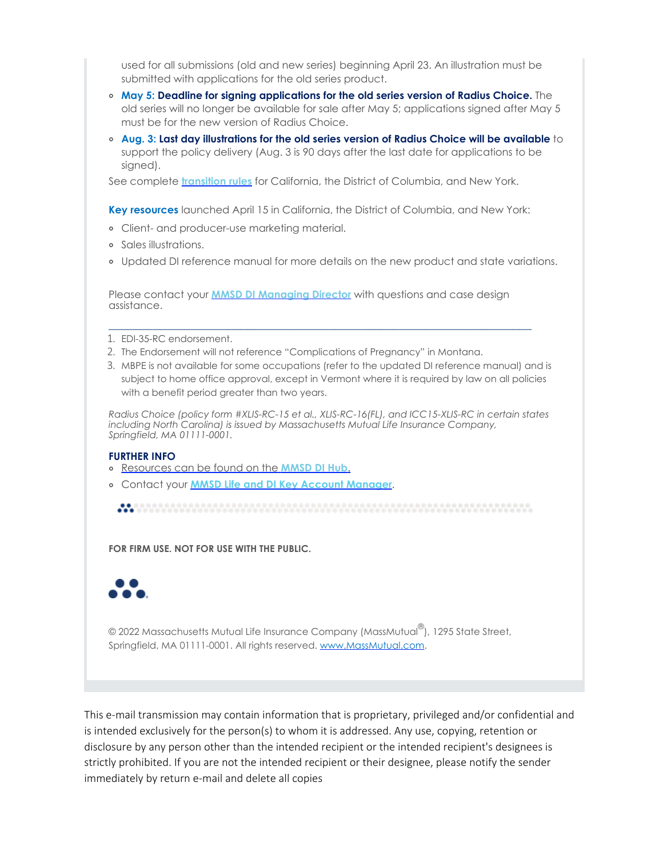used for all submissions (old and new series) beginning April 23. An illustration must be submitted with applications for the old series product.

- **May 5: Deadline for signing applications for the old series version of Radius Choice.** The old series will no longer be available for sale after May 5; applications signed after May 5 must be for the new version of Radius Choice.
- **Aug. 3: Last day illustrations for the old series version of Radius Choice will be available** to support the policy delivery (Aug. 3 is 90 days after the last date for applications to be signed).

See complete **[transition rules](https://fieldnet.massmutual.com/public/di/pdfs/rc-transition-rules-ca-dc-ny.pdf)** for California, the District of Columbia, and New York.

**Key resources** launched April 15 in California, the District of Columbia, and New York:

- Client- and producer-use marketing material.
- Sales illustrations.
- Updated DI reference manual for more details on the new product and state variations.

Please contact your **[MMSD DI Managing Director](https://fieldnet.massmutual.com/public/di/pdfs/sd8007.pdf)** with questions and case design assistance.

\_\_\_\_\_\_\_\_\_\_\_\_\_\_\_\_\_\_\_\_\_\_\_\_\_\_\_\_\_\_\_\_\_\_\_\_\_\_\_\_\_\_\_\_\_\_\_\_\_\_\_\_\_\_\_\_\_\_\_\_\_\_\_\_\_\_\_

- 1. EDI-35-RC endorsement.
- 2. The Endorsement will not reference "Complications of Pregnancy" in Montana.
- 3. MBPE is not available for some occupations (refer to the updated DI reference manual) and is subject to home office approval, except in Vermont where it is required by law on all policies with a benefit period greater than two years.

*Radius Choice (policy form #XLIS-RC-15 et al., XLIS-RC-16(FL), and ICC15-XLIS-RC in certain states including North Carolina) is issued by Massachusetts Mutual Life Insurance Company, Springfield, MA 01111-0001.*

### **FURTHER INFO**

- [Resources can be found on the](http://mediaassets.massmutual.com/landingpages/lkjbdfpveubei/MMSD/mmsd_DI_hub.html) **MMSD DI Hub**.
- Contact your **[MMSD Life and DI Key Account Manager](mailto:MMSDLifeKAMteam@iuo.massmutual.com)**.

**FOR FIRM USE. NOT FOR USE WITH THE PUBLIC.**



© 2022 Massachusetts Mutual Life Insurance Company (MassMutual $^\circledR$ ), 1295 State Street, Springfield, MA 01111-0001. All rights reserved. [www.MassMutual.com](https://www.massmutual.com/).

This e-mail transmission may contain information that is proprietary, privileged and/or confidential and is intended exclusively for the person(s) to whom it is addressed. Any use, copying, retention or disclosure by any person other than the intended recipient or the intended recipient's designees is strictly prohibited. If you are not the intended recipient or their designee, please notify the sender immediately by return e-mail and delete all copies